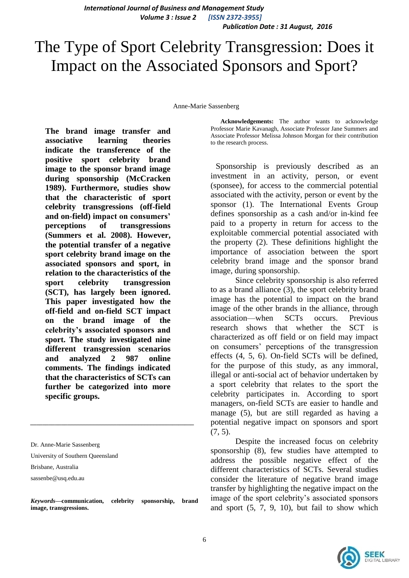*International Journal of Business and Management Study Volume 3 : Issue 2 [ISSN 2372-3955]*

 *Publication Date : 31 August, 2016*

# The Type of Sport Celebrity Transgression: Does it Impact on the Associated Sponsors and Sport?

Anne-Marie Sassenberg

**The brand image transfer and associative learning theories indicate the transference of the positive sport celebrity brand image to the sponsor brand image during sponsorship (McCracken 1989). Furthermore, studies show that the characteristic of sport celebrity transgressions (off-field and on-field) impact on consumers' perceptions of transgressions (Summers et al. 2008). However, the potential transfer of a negative sport celebrity brand image on the associated sponsors and sport, in relation to the characteristics of the sport celebrity transgression (SCT), has largely been ignored. This paper investigated how the off-field and on-field SCT impact on the brand image of the celebrity's associated sponsors and sport. The study investigated nine different transgression scenarios and analyzed 2 987 online comments. The findings indicated that the characteristics of SCTs can further be categorized into more specific groups.**

University of Southern Queensland

sassenbe@usq.edu.au

*Keywords—***communication, celebrity sponsorship, brand image, transgressions.** 

*\_\_\_\_\_\_\_\_\_\_\_\_\_\_\_\_\_\_\_\_\_\_\_\_\_\_\_\_\_\_\_\_\_\_\_\_\_\_\_\_\_\_\_\_\_\_\_\_\_\_\_\_\_*

**Acknowledgements:** The author wants to acknowledge Professor Marie Kavanagh, Associate Professor Jane Summers and Associate Professor Melissa Johnson Morgan for their contribution to the research process.

 Sponsorship is previously described as an investment in an activity, person, or event (sponsee), for access to the commercial potential associated with the activity, person or event by the sponsor (1). The International Events Group defines sponsorship as a cash and/or in-kind fee paid to a property in return for access to the exploitable commercial potential associated with the property (2). These definitions highlight the importance of association between the sport celebrity brand image and the sponsor brand image, during sponsorship.

Since celebrity sponsorship is also referred to as a brand alliance (3), the sport celebrity brand image has the potential to impact on the brand image of the other brands in the alliance, through association—when SCTs occurs. Previous research shows that whether the SCT is characterized as off field or on field may impact on consumers' perceptions of the transgression effects (4, 5, 6). On-field SCTs will be defined, for the purpose of this study, as any immoral, illegal or anti-social act of behavior undertaken by a sport celebrity that relates to the sport the celebrity participates in. According to sport managers, on-field SCTs are easier to handle and manage (5), but are still regarded as having a potential negative impact on sponsors and sport  $(7, 5)$ .

Despite the increased focus on celebrity sponsorship (8), few studies have attempted to address the possible negative effect of the different characteristics of SCTs. Several studies consider the literature of negative brand image transfer by highlighting the negative impact on the image of the sport celebrity's associated sponsors and sport (5, 7, 9, 10), but fail to show which



Dr. Anne-Marie Sassenberg

Brisbane, Australia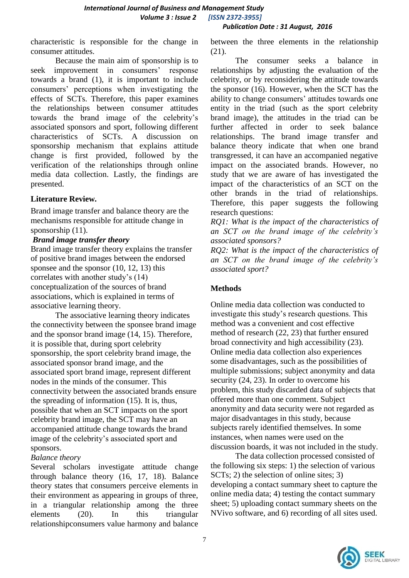*Publication Date : 31 August, 2016*

characteristic is responsible for the change in consumer attitudes.

Because the main aim of sponsorship is to seek improvement in consumers' response towards a brand (1), it is important to include consumers' perceptions when investigating the effects of SCTs. Therefore, this paper examines the relationships between consumer attitudes towards the brand image of the celebrity's associated sponsors and sport, following different characteristics of SCTs. A discussion on sponsorship mechanism that explains attitude change is first provided, followed by the verification of the relationships through online media data collection. Lastly, the findings are presented.

## **Literature Review***.*

Brand image transfer and balance theory are the mechanisms responsible for attitude change in sponsorship  $(11)$ .

#### *Brand image transfer theory*

Brand image transfer theory explains the transfer of positive brand images between the endorsed sponsee and the sponsor  $(10, 12, 13)$  this correlates with another study's (14) conceptualization of the sources of brand associations, which is explained in terms of associative learning theory.

The associative learning theory indicates the connectivity between the sponsee brand image and the sponsor brand image (14, 15). Therefore, it is possible that, during sport celebrity sponsorship, the sport celebrity brand image, the associated sponsor brand image, and the associated sport brand image, represent different nodes in the minds of the consumer. This connectivity between the associated brands ensure the spreading of information (15). It is, thus, possible that when an SCT impacts on the sport celebrity brand image, the SCT may have an accompanied attitude change towards the brand image of the celebrity's associated sport and sponsors.

## *Balance theory*

Several scholars investigate attitude change through balance theory (16, 17, 18). Balance theory states that consumers perceive elements in their environment as appearing in groups of three, in a triangular relationship among the three elements (20). In this triangular relationshipconsumers value harmony and balance

between the three elements in the relationship (21).

The consumer seeks a balance in relationships by adjusting the evaluation of the celebrity, or by reconsidering the attitude towards the sponsor (16). However, when the SCT has the ability to change consumers' attitudes towards one entity in the triad (such as the sport celebrity brand image), the attitudes in the triad can be further affected in order to seek balance relationships. The brand image transfer and balance theory indicate that when one brand transgressed, it can have an accompanied negative impact on the associated brands. However, no study that we are aware of has investigated the impact of the characteristics of an SCT on the other brands in the triad of relationships. Therefore, this paper suggests the following research questions:

*RQ1: What is the impact of the characteristics of an SCT on the brand image of the celebrity's associated sponsors?*

*RQ2: What is the impact of the characteristics of an SCT on the brand image of the celebrity's associated sport?*

## **Methods**

Online media data collection was conducted to investigate this study's research questions. This method was a convenient and cost effective method of research (22, 23) that further ensured broad connectivity and high accessibility (23). Online media data collection also experiences some disadvantages, such as the possibilities of multiple submissions; subject anonymity and data security (24, 23). In order to overcome his problem, this study discarded data of subjects that offered more than one comment. Subject anonymity and data security were not regarded as major disadvantages in this study, because subjects rarely identified themselves. In some instances, when names were used on the discussion boards, it was not included in the study.

The data collection processed consisted of the following six steps: 1) the selection of various SCTs; 2) the selection of online sites; 3) developing a contact summary sheet to capture the online media data; 4) testing the contact summary sheet; 5) uploading contact summary sheets on the NVivo software, and 6) recording of all sites used.

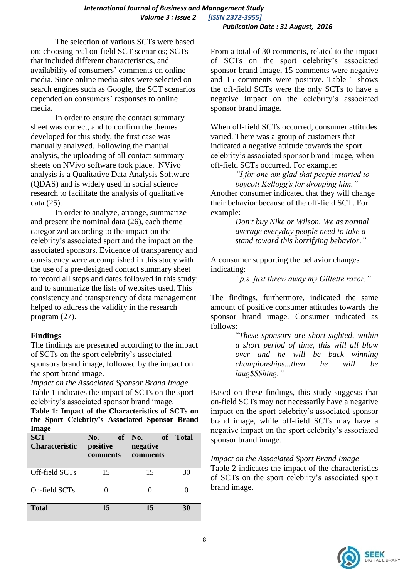The selection of various SCTs were based on: choosing real on-field SCT scenarios; SCTs that included different characteristics, and availability of consumers' comments on online media. Since online media sites were selected on search engines such as Google, the SCT scenarios depended on consumers' responses to online media.

In order to ensure the contact summary sheet was correct, and to confirm the themes developed for this study, the first case was manually analyzed. Following the manual analysis, the uploading of all contact summary sheets on NVivo software took place. NVivo analysis is a Qualitative Data Analysis Software (QDAS) and is widely used in social science research to facilitate the analysis of qualitative data (25).

In order to analyze, arrange, summarize and present the nominal data (26), each theme categorized according to the impact on the celebrity's associated sport and the impact on the associated sponsors. Evidence of transparency and consistency were accomplished in this study with the use of a pre-designed contact summary sheet to record all steps and dates followed in this study; and to summarize the lists of websites used. This consistency and transparency of data management helped to address the validity in the research program (27).

## **Findings**

The findings are presented according to the impact of SCTs on the sport celebrity's associated sponsors brand image, followed by the impact on the sport brand image.

*Impact on the Associated Sponsor Brand Image* Table 1 indicates the impact of SCTs on the sport celebrity's associated sponsor brand image.

**Table 1: Impact of the Characteristics of SCTs on the Sport Celebrity's Associated Sponsor Brand Image**

| <b>SCT</b><br><b>Characteristic</b> | No.<br><b>of</b><br>positive<br>comments | No.<br><b>of</b><br>negative<br>comments | <b>Total</b> |
|-------------------------------------|------------------------------------------|------------------------------------------|--------------|
| Off-field SCTs                      | 15                                       | 15                                       | 30           |
| On-field SCTs                       |                                          |                                          |              |
| <b>Total</b>                        | 15                                       | 15                                       | 30           |

From a total of 30 comments, related to the impact of SCTs on the sport celebrity's associated sponsor brand image, 15 comments were negative and 15 comments were positive. Table 1 shows the off-field SCTs were the only SCTs to have a negative impact on the celebrity's associated sponsor brand image.

When off-field SCTs occurred, consumer attitudes varied. There was a group of customers that indicated a negative attitude towards the sport celebrity's associated sponsor brand image, when off-field SCTs occurred. For example:

*"I for one am glad that people started to boycott Kellogg's for dropping him."* Another consumer indicated that they will change their behavior because of the off-field SCT. For example:

> *Don't buy Nike or Wilson. We as normal average everyday people need to take a stand toward this horrifying behavior."*

A consumer supporting the behavior changes indicating:

*"p.s. just threw away my Gillette razor."*

The findings, furthermore, indicated the same amount of positive consumer attitudes towards the sponsor brand image. Consumer indicated as follows:

> "*These sponsors are short-sighted, within a short period of time, this will all blow over and he will be back winning championships...then he will be laug\$\$\$hing."*

Based on these findings, this study suggests that on-field SCTs may not necessarily have a negative impact on the sport celebrity's associated sponsor brand image, while off-field SCTs may have a negative impact on the sport celebrity's associated sponsor brand image.

*Impact on the Associated Sport Brand Image*

Table 2 indicates the impact of the characteristics of SCTs on the sport celebrity's associated sport brand image.

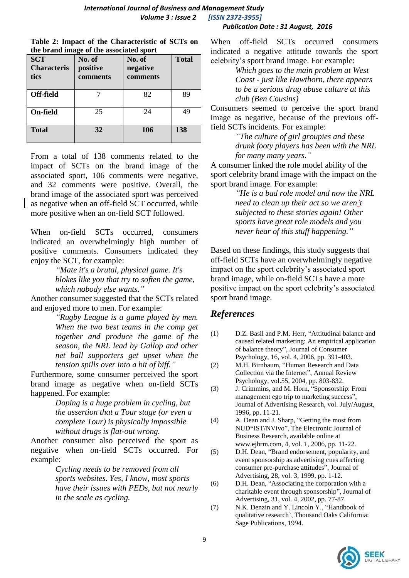| <b>Publication Date: 31 August, 2016</b> |  |
|------------------------------------------|--|
|------------------------------------------|--|

| Table 2: Impact of the Characteristic of SCTs on |  |  |
|--------------------------------------------------|--|--|
| the brand image of the associated sport          |  |  |

| <b>SCT</b><br><b>Characteris</b><br>tics | the brand midge of the associated sport<br>No. of<br>positive<br>comments | No. of<br>negative<br>comments | <b>Total</b> |
|------------------------------------------|---------------------------------------------------------------------------|--------------------------------|--------------|
| Off-field                                |                                                                           | 82                             | 89           |
| On-field                                 | 25                                                                        | 24                             | 49           |
| <b>Total</b>                             | 32                                                                        | 106                            | 138          |

From a total of 138 comments related to the impact of SCTs on the brand image of the associated sport, 106 comments were negative, and 32 comments were positive. Overall, the brand image of the associated sport was perceived as negative when an off-field SCT occurred, while more positive when an on-field SCT followed.

When on-field SCTs occurred, consumers indicated an overwhelmingly high number of positive comments. Consumers indicated they enjoy the SCT, for example:

*"Mate it's a brutal, physical game. It's blokes like you that try to soften the game, which nobody else wants."*

Another consumer suggested that the SCTs related and enjoyed more to men. For example:

> *"Rugby League is a game played by men. When the two best teams in the comp get together and produce the game of the season, the NRL lead by Gallop and other net ball supporters get upset when the tension spills over into a bit of biff."*

Furthermore, some consumer perceived the sport brand image as negative when on-field SCTs happened. For example:

> *Doping is a huge problem in cycling, but the assertion that a Tour stage (or even a complete Tour) is physically impossible without drugs is flat-out wrong.*

Another consumer also perceived the sport as negative when on-field SCTs occurred. For example:

> *Cycling needs to be removed from all sports websites. Yes, I know, most sports have their issues with PEDs, but not nearly in the scale as cycling.*

When off-field SCTs occurred consumers indicated a negative attitude towards the sport celebrity's sport brand image. For example:

> *Which goes to the main problem at West Coast - just like Hawthorn, there appears to be a serious drug abuse culture at this club (Ben Cousins)*

Consumers seemed to perceive the sport brand image as negative, because of the previous offfield SCTs incidents. For example:

> *"The culture of girl groupies and these drunk footy players has been with the NRL for many many years."*

A consumer linked the role model ability of the sport celebrity brand image with the impact on the sport brand image. For example:

> *"He is a bad role model and now the NRL need to clean up their act so we aren't subjected to these stories again! Other sports have great role models and you never hear of this stuff happening."*

Based on these findings, this study suggests that off-field SCTs have an overwhelmingly negative impact on the sport celebrity's associated sport brand image, while on-field SCTs have a more positive impact on the sport celebrity's associated sport brand image.

## *References*

- (1) D.Z. Basil and P.M. Herr, "Attitudinal balance and caused related marketing: An empirical application of balance theory", Journal of Consumer Psychology, 16, vol. 4, 2006, pp. 391-403.
- (2) M.H. Birnbaum, "Human Research and Data Collection via the Internet", Annual Review Psychology, vol.55, 2004, pp. 803-832.
- (3) J. Crimmins, and M. Horn, "Sponsorship: From management ego trip to marketing success", Journal of Advertising Research, vol. July/August, 1996, pp. 11-21.
- (4) A. Dean and J. Sharp, "Getting the most from NUD\*IST/NVivo", The Electronic Journal of Business Research, available online at www.ejbrm.com, 4, vol. 1, 2006, pp. 11-22.
- (5) D.H. Dean, "Brand endorsement, popularity, and event sponsorship as advertising cues affecting consumer pre-purchase attitudes", Journal of Advertising, 28, vol. 3, 1999, pp. 1-12.
- (6) D.H. Dean, "Associating the corporation with a charitable event through sponsorship", Journal of Advertising, 31, vol. 4, 2002, pp. 77-87.
- (7) N.K. Denzin and Y. Lincoln Y., "Handbook of qualitative research', Thousand Oaks California: Sage Publications, 1994.